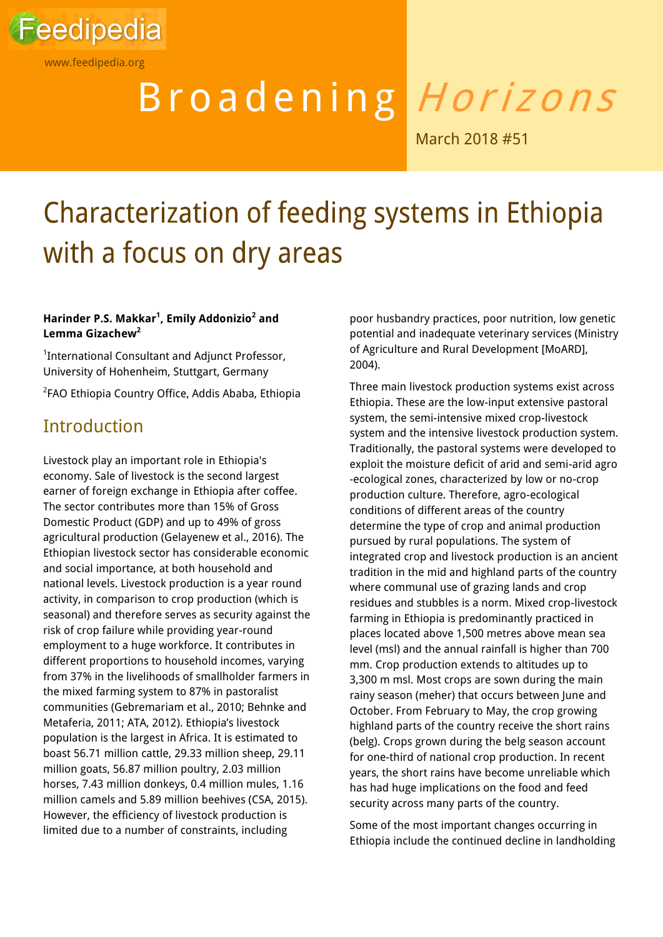

www.feedipedia.org

# Broadening Horizons

March 2018 #51

## Characterization of feeding systems in Ethiopia with a focus on dry areas

#### **Harinder P.S. Makkar<sup>1</sup> , Emily Addonizio<sup>2</sup> and Lemma Gizachew<sup>2</sup>**

<sup>1</sup>International Consultant and Adjunct Professor, University of Hohenheim, Stuttgart, Germany

2 FAO Ethiopia Country Office, Addis Ababa, Ethiopia

## **Introduction**

Livestock play an important role in Ethiopia's economy. Sale of livestock is the second largest earner of foreign exchange in Ethiopia after coffee. The sector contributes more than 15% of Gross Domestic Product (GDP) and up to 49% of gross agricultural production (Gelayenew et al., 2016). The Ethiopian livestock sector has considerable economic and social importance, at both household and national levels. Livestock production is a year round activity, in comparison to crop production (which is seasonal) and therefore serves as security against the risk of crop failure while providing year-round employment to a huge workforce. It contributes in different proportions to household incomes, varying from 37% in the livelihoods of smallholder farmers in the mixed farming system to 87% in pastoralist communities (Gebremariam et al., 2010; Behnke and Metaferia, 2011; ATA, 2012). Ethiopia's livestock population is the largest in Africa. It is estimated to boast 56.71 million cattle, 29.33 million sheep, 29.11 million goats, 56.87 million poultry, 2.03 million horses, 7.43 million donkeys, 0.4 million mules, 1.16 million camels and 5.89 million beehives (CSA, 2015). However, the efficiency of livestock production is limited due to a number of constraints, including

poor husbandry practices, poor nutrition, low genetic potential and inadequate veterinary services (Ministry of Agriculture and Rural Development [MoARD], 2004).

Three main livestock production systems exist across Ethiopia. These are the low-input extensive pastoral system, the semi-intensive mixed crop-livestock system and the intensive livestock production system. Traditionally, the pastoral systems were developed to exploit the moisture deficit of arid and semi-arid agro -ecological zones, characterized by low or no-crop production culture. Therefore, agro-ecological conditions of different areas of the country determine the type of crop and animal production pursued by rural populations. The system of integrated crop and livestock production is an ancient tradition in the mid and highland parts of the country where communal use of grazing lands and crop residues and stubbles is a norm. Mixed crop-livestock farming in Ethiopia is predominantly practiced in places located above 1,500 metres above mean sea level (msl) and the annual rainfall is higher than 700 mm. Crop production extends to altitudes up to 3,300 m msl. Most crops are sown during the main rainy season (meher) that occurs between June and October. From February to May, the crop growing highland parts of the country receive the short rains (belg). Crops grown during the belg season account for one-third of national crop production. In recent years, the short rains have become unreliable which has had huge implications on the food and feed security across many parts of the country.

Some of the most important changes occurring in Ethiopia include the continued decline in landholding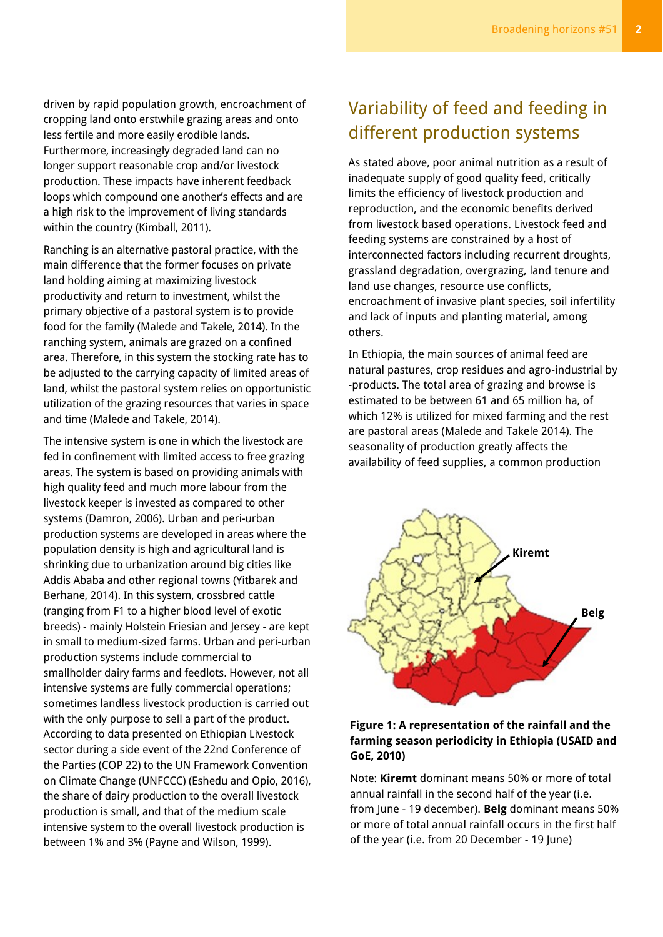driven by rapid population growth, encroachment of cropping land onto erstwhile grazing areas and onto less fertile and more easily erodible lands. Furthermore, increasingly degraded land can no longer support reasonable crop and/or livestock production. These impacts have inherent feedback loops which compound one another's effects and are a high risk to the improvement of living standards within the country (Kimball, 2011).

Ranching is an alternative pastoral practice, with the main difference that the former focuses on private land holding aiming at maximizing livestock productivity and return to investment, whilst the primary objective of a pastoral system is to provide food for the family (Malede and Takele, 2014). In the ranching system, animals are grazed on a confined area. Therefore, in this system the stocking rate has to be adjusted to the carrying capacity of limited areas of land, whilst the pastoral system relies on opportunistic utilization of the grazing resources that varies in space and time (Malede and Takele, 2014).

The intensive system is one in which the livestock are fed in confinement with limited access to free grazing areas. The system is based on providing animals with high quality feed and much more labour from the livestock keeper is invested as compared to other systems (Damron, 2006). Urban and peri-urban production systems are developed in areas where the population density is high and agricultural land is shrinking due to urbanization around big cities like Addis Ababa and other regional towns (Yitbarek and Berhane, 2014). In this system, crossbred cattle (ranging from F1 to a higher blood level of exotic breeds) - mainly Holstein Friesian and Jersey - are kept in small to medium-sized farms. Urban and peri-urban production systems include commercial to smallholder dairy farms and feedlots. However, not all intensive systems are fully commercial operations; sometimes landless livestock production is carried out with the only purpose to sell a part of the product. According to data presented on Ethiopian Livestock sector during a side event of the 22nd Conference of the Parties (COP 22) to the UN Framework Convention on Climate Change (UNFCCC) (Eshedu and Opio, 2016), the share of dairy production to the overall livestock production is small, and that of the medium scale intensive system to the overall livestock production is between 1% and 3% (Payne and Wilson, 1999).

## Variability of feed and feeding in different production systems

As stated above, poor animal nutrition as a result of inadequate supply of good quality feed, critically limits the efficiency of livestock production and reproduction, and the economic benefits derived from livestock based operations. Livestock feed and feeding systems are constrained by a host of interconnected factors including recurrent droughts, grassland degradation, overgrazing, land tenure and land use changes, resource use conflicts, encroachment of invasive plant species, soil infertility and lack of inputs and planting material, among others.

In Ethiopia, the main sources of animal feed are natural pastures, crop residues and agro-industrial by -products. The total area of grazing and browse is estimated to be between 61 and 65 million ha, of which 12% is utilized for mixed farming and the rest are pastoral areas (Malede and Takele 2014). The seasonality of production greatly affects the availability of feed supplies, a common production



#### **Figure 1: A representation of the rainfall and the farming season periodicity in Ethiopia (USAID and GoE, 2010)**

Note: **Kiremt** dominant means 50% or more of total annual rainfall in the second half of the year (i.e. from June - 19 december). **Belg** dominant means 50% or more of total annual rainfall occurs in the first half of the year (i.e. from 20 December - 19 June)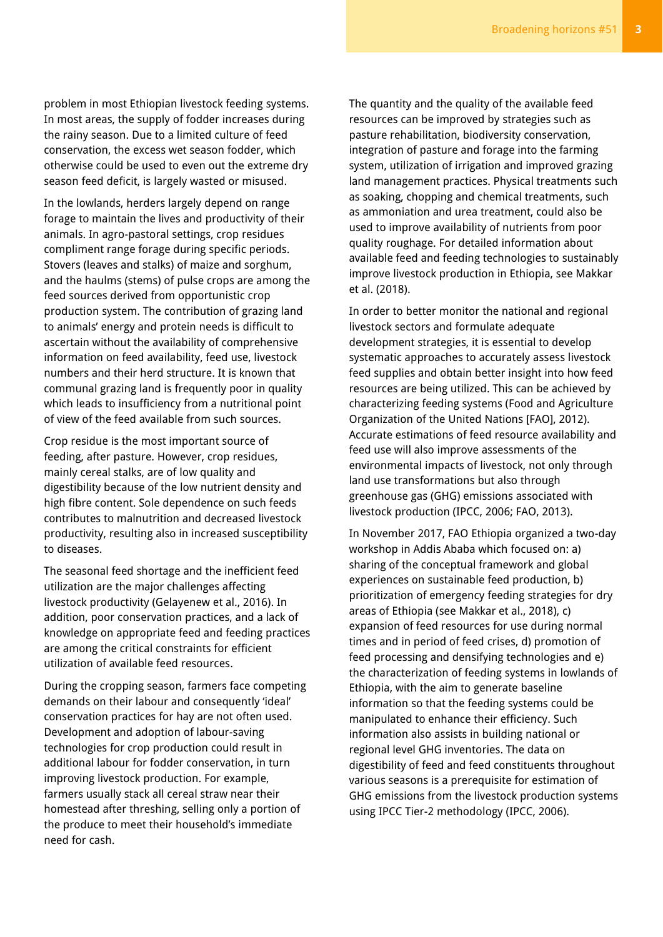problem in most Ethiopian livestock feeding systems. In most areas, the supply of fodder increases during the rainy season. Due to a limited culture of feed conservation, the excess wet season fodder, which otherwise could be used to even out the extreme dry season feed deficit, is largely wasted or misused.

In the lowlands, herders largely depend on range forage to maintain the lives and productivity of their animals. In agro-pastoral settings, crop residues compliment range forage during specific periods. Stovers (leaves and stalks) of maize and sorghum, and the haulms (stems) of pulse crops are among the feed sources derived from opportunistic crop production system. The contribution of grazing land to animals' energy and protein needs is difficult to ascertain without the availability of comprehensive information on feed availability, feed use, livestock numbers and their herd structure. It is known that communal grazing land is frequently poor in quality which leads to insufficiency from a nutritional point of view of the feed available from such sources.

Crop residue is the most important source of feeding, after pasture. However, crop residues, mainly cereal stalks, are of low quality and digestibility because of the low nutrient density and high fibre content. Sole dependence on such feeds contributes to malnutrition and decreased livestock productivity, resulting also in increased susceptibility to diseases.

The seasonal feed shortage and the inefficient feed utilization are the major challenges affecting livestock productivity (Gelayenew et al., 2016). In addition, poor conservation practices, and a lack of knowledge on appropriate feed and feeding practices are among the critical constraints for efficient utilization of available feed resources.

During the cropping season, farmers face competing demands on their labour and consequently 'ideal' conservation practices for hay are not often used. Development and adoption of labour-saving technologies for crop production could result in additional labour for fodder conservation, in turn improving livestock production. For example, farmers usually stack all cereal straw near their homestead after threshing, selling only a portion of the produce to meet their household's immediate need for cash.

The quantity and the quality of the available feed resources can be improved by strategies such as pasture rehabilitation, biodiversity conservation, integration of pasture and forage into the farming system, utilization of irrigation and improved grazing land management practices. Physical treatments such as soaking, chopping and chemical treatments, such as ammoniation and urea treatment, could also be used to improve availability of nutrients from poor quality roughage. For detailed information about available feed and feeding technologies to sustainably improve livestock production in Ethiopia, see Makkar et al. (2018).

In order to better monitor the national and regional livestock sectors and formulate adequate development strategies, it is essential to develop systematic approaches to accurately assess livestock feed supplies and obtain better insight into how feed resources are being utilized. This can be achieved by characterizing feeding systems (Food and Agriculture Organization of the United Nations [FAO], 2012). Accurate estimations of feed resource availability and feed use will also improve assessments of the environmental impacts of livestock, not only through land use transformations but also through greenhouse gas (GHG) emissions associated with livestock production (IPCC, 2006; FAO, 2013).

In November 2017, FAO Ethiopia organized a two-day workshop in Addis Ababa which focused on: a) sharing of the conceptual framework and global experiences on sustainable feed production, b) prioritization of emergency feeding strategies for dry areas of Ethiopia (see Makkar et al., 2018), c) expansion of feed resources for use during normal times and in period of feed crises, d) promotion of feed processing and densifying technologies and e) the characterization of feeding systems in lowlands of Ethiopia, with the aim to generate baseline information so that the feeding systems could be manipulated to enhance their efficiency. Such information also assists in building national or regional level GHG inventories. The data on digestibility of feed and feed constituents throughout various seasons is a prerequisite for estimation of GHG emissions from the livestock production systems using IPCC Tier-2 methodology (IPCC, 2006).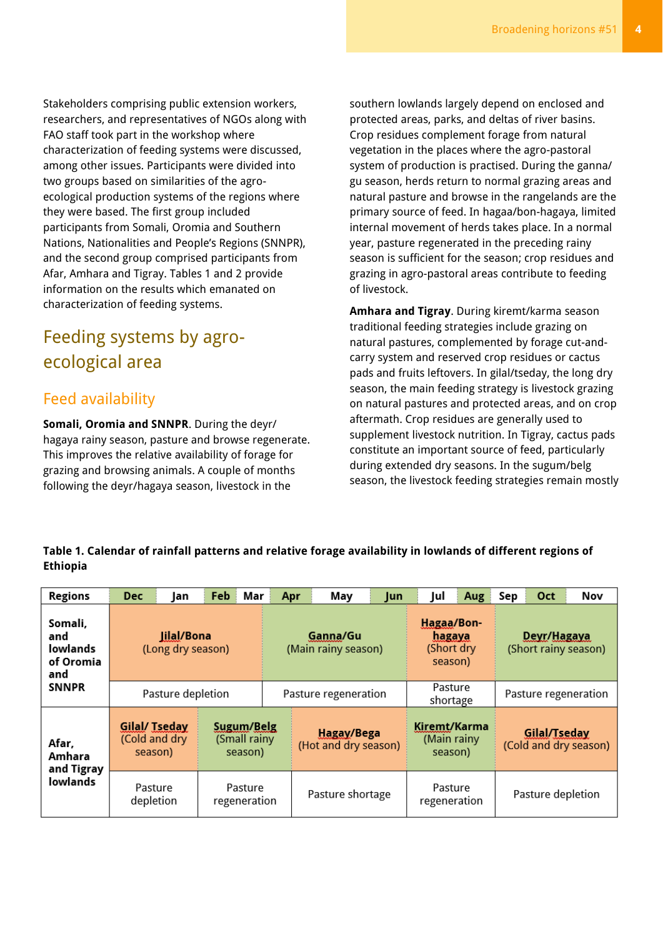Stakeholders comprising public extension workers, researchers, and representatives of NGOs along with FAO staff took part in the workshop where characterization of feeding systems were discussed, among other issues. Participants were divided into two groups based on similarities of the agroecological production systems of the regions where they were based. The first group included participants from Somali, Oromia and Southern Nations, Nationalities and People's Regions (SNNPR), and the second group comprised participants from Afar, Amhara and Tigray. Tables 1 and 2 provide information on the results which emanated on characterization of feeding systems.

## Feeding systems by agroecological area

## Feed availability

**Somali, Oromia and SNNPR**. During the deyr/ hagaya rainy season, pasture and browse regenerate. This improves the relative availability of forage for grazing and browsing animals. A couple of months following the deyr/hagaya season, livestock in the

southern lowlands largely depend on enclosed and protected areas, parks, and deltas of river basins. Crop residues complement forage from natural vegetation in the places where the agro-pastoral system of production is practised. During the ganna/ gu season, herds return to normal grazing areas and natural pasture and browse in the rangelands are the primary source of feed. In hagaa/bon-hagaya, limited internal movement of herds takes place. In a normal year, pasture regenerated in the preceding rainy season is sufficient for the season; crop residues and grazing in agro-pastoral areas contribute to feeding of livestock.

**Amhara and Tigray**. During kiremt/karma season traditional feeding strategies include grazing on natural pastures, complemented by forage cut-andcarry system and reserved crop residues or cactus pads and fruits leftovers. In gilal/tseday, the long dry season, the main feeding strategy is livestock grazing on natural pastures and protected areas, and on crop aftermath. Crop residues are generally used to supplement livestock nutrition. In Tigray, cactus pads constitute an important source of feed, particularly during extended dry seasons. In the sugum/belg season, the livestock feeding strategies remain mostly

#### **Table 1. Calendar of rainfall patterns and relative forage availability in lowlands of different regions of Ethiopia**

| <b>Regions</b>                                   | <b>Dec</b>                                                                                | lan | Feb | Mar              | Apr                                | May | Jun                                    | Jul                                           | Aug                                   | Sep                                 | <b>Oct</b> | Nov |
|--------------------------------------------------|-------------------------------------------------------------------------------------------|-----|-----|------------------|------------------------------------|-----|----------------------------------------|-----------------------------------------------|---------------------------------------|-------------------------------------|------------|-----|
| Somali,<br>and<br>lowlands<br>of Oromia<br>and   | <b>Jilal/Bona</b><br>(Long dry season)                                                    |     |     |                  | Ganna/Gu<br>(Main rainy season)    |     |                                        | Hagaa/Bon-<br>hagaya<br>(Short dry<br>season) |                                       | Deyr/Hagaya<br>(Short rainy season) |            |     |
| <b>SNNPR</b>                                     | Pasture depletion                                                                         |     |     |                  | Pasture regeneration               |     |                                        | Pasture<br>shortage                           |                                       | Pasture regeneration                |            |     |
| Afar,<br>Amhara<br>and Tigray<br><b>lowlands</b> | <b>Gilal/ Tseday</b><br>Sugum/Belg<br>(Cold and dry<br>(Small rainy<br>season)<br>season) |     |     |                  | Hagay/Bega<br>(Hot and dry season) |     | Kiremt/Karma<br>(Main rainy<br>season) |                                               | Gilal/Tseday<br>(Cold and dry season) |                                     |            |     |
|                                                  | Pasture<br>Pasture<br>depletion<br>regeneration                                           |     |     | Pasture shortage |                                    |     | Pasture<br>regeneration                |                                               | Pasture depletion                     |                                     |            |     |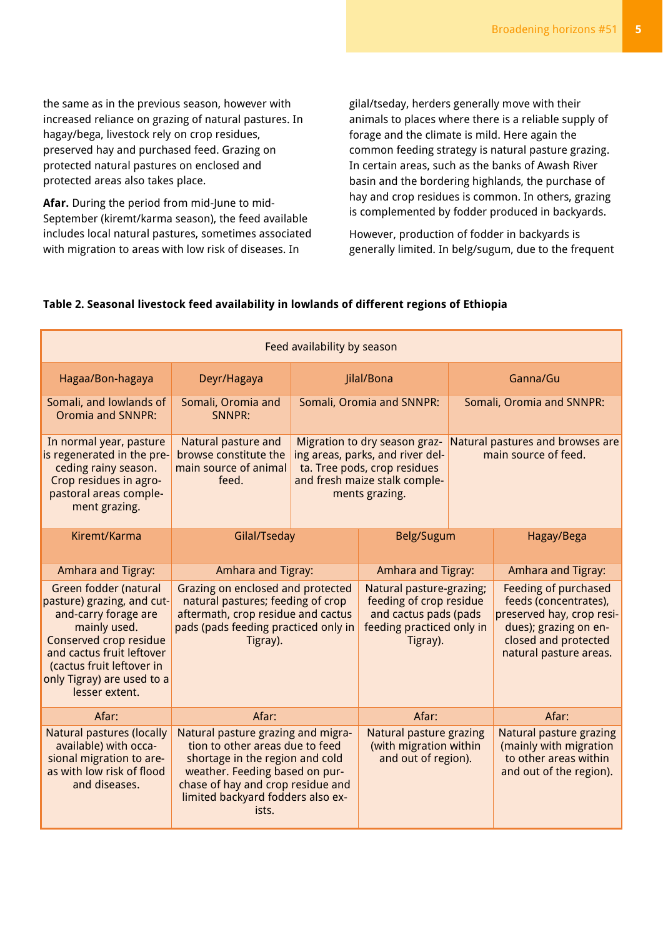the same as in the previous season, however with increased reliance on grazing of natural pastures. In hagay/bega, livestock rely on crop residues, preserved hay and purchased feed. Grazing on protected natural pastures on enclosed and protected areas also takes place.

**Afar.** During the period from mid-June to mid-September (kiremt/karma season), the feed available includes local natural pastures, sometimes associated with migration to areas with low risk of diseases. In

gilal/tseday, herders generally move with their animals to places where there is a reliable supply of forage and the climate is mild. Here again the common feeding strategy is natural pasture grazing. In certain areas, such as the banks of Awash River basin and the bordering highlands, the purchase of hay and crop residues is common. In others, grazing is complemented by fodder produced in backyards.

However, production of fodder in backyards is generally limited. In belg/sugum, due to the frequent

#### **Table 2. Seasonal livestock feed availability in lowlands of different regions of Ethiopia**

| Feed availability by season                                                                                                                                                                                                     |                                                                                                                                                                                                                               |            |                                                                                                                                                      |                           |                                                                                                                                                              |  |  |  |  |  |
|---------------------------------------------------------------------------------------------------------------------------------------------------------------------------------------------------------------------------------|-------------------------------------------------------------------------------------------------------------------------------------------------------------------------------------------------------------------------------|------------|------------------------------------------------------------------------------------------------------------------------------------------------------|---------------------------|--------------------------------------------------------------------------------------------------------------------------------------------------------------|--|--|--|--|--|
| Hagaa/Bon-hagaya                                                                                                                                                                                                                |                                                                                                                                                                                                                               | Jilal/Bona | Ganna/Gu                                                                                                                                             |                           |                                                                                                                                                              |  |  |  |  |  |
| Somali, and lowlands of<br><b>Oromia and SNNPR:</b>                                                                                                                                                                             | Somali, Oromia and<br><b>SNNPR:</b>                                                                                                                                                                                           |            | Somali, Oromia and SNNPR:                                                                                                                            | Somali, Oromia and SNNPR: |                                                                                                                                                              |  |  |  |  |  |
| In normal year, pasture<br>is regenerated in the pre-<br>ceding rainy season.<br>Crop residues in agro-<br>pastoral areas comple-<br>ment grazing.                                                                              | Natural pasture and<br>browse constitute the<br>main source of animal<br>feed.                                                                                                                                                |            | Migration to dry season graz-<br>ing areas, parks, and river del-<br>ta. Tree pods, crop residues<br>and fresh maize stalk comple-<br>ments grazing. |                           | Natural pastures and browses are<br>main source of feed.                                                                                                     |  |  |  |  |  |
| Kiremt/Karma                                                                                                                                                                                                                    | Gilal/Tseday                                                                                                                                                                                                                  |            | Belg/Sugum                                                                                                                                           |                           | Hagay/Bega                                                                                                                                                   |  |  |  |  |  |
| Amhara and Tigray:                                                                                                                                                                                                              | Amhara and Tigray:                                                                                                                                                                                                            |            | Amhara and Tigray:                                                                                                                                   |                           | Amhara and Tigray:                                                                                                                                           |  |  |  |  |  |
| Green fodder (natural<br>pasture) grazing, and cut-<br>and-carry forage are<br>mainly used.<br>Conserved crop residue<br>and cactus fruit leftover<br>(cactus fruit leftover in<br>only Tigray) are used to a<br>lesser extent. | Grazing on enclosed and protected<br>natural pastures; feeding of crop<br>aftermath, crop residue and cactus<br>pads (pads feeding practiced only in<br>Tigray).                                                              |            | Natural pasture-grazing;<br>feeding of crop residue<br>and cactus pads (pads<br>feeding practiced only in<br>Tigray).                                |                           | <b>Feeding of purchased</b><br>feeds (concentrates),<br>preserved hay, crop resi-<br>dues); grazing on en-<br>closed and protected<br>natural pasture areas. |  |  |  |  |  |
| Afar:<br>Afar:                                                                                                                                                                                                                  |                                                                                                                                                                                                                               | Afar:      |                                                                                                                                                      |                           | Afar:                                                                                                                                                        |  |  |  |  |  |
| <b>Natural pastures (locally</b><br>available) with occa-<br>sional migration to are-<br>as with low risk of flood<br>and diseases.                                                                                             | Natural pasture grazing and migra-<br>tion to other areas due to feed<br>shortage in the region and cold<br>weather. Feeding based on pur-<br>chase of hay and crop residue and<br>limited backyard fodders also ex-<br>ists. |            | <b>Natural pasture grazing</b><br>(with migration within<br>and out of region).                                                                      |                           | <b>Natural pasture grazing</b><br>(mainly with migration<br>to other areas within<br>and out of the region).                                                 |  |  |  |  |  |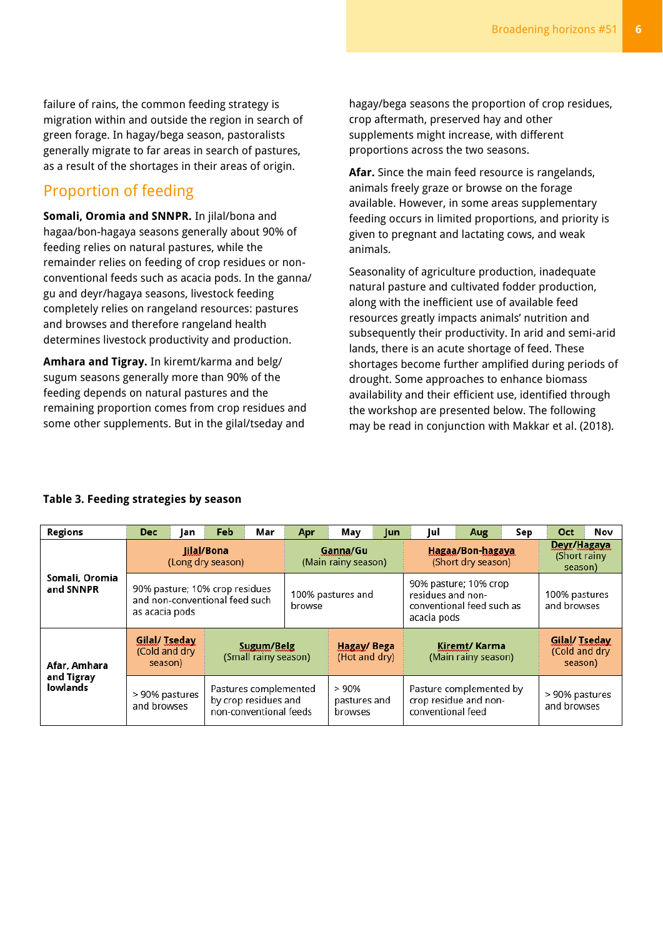failure of rains, the common feeding strategy is migration within and outside the region in search of green forage. In hagay/bega season, pastoralists generally migrate to far areas in search of pastures, as a result of the shortages in their areas of origin.

### Proportion of feeding

**Somali, Oromia and SNNPR.** In jilal/bona and hagaa/bon-hagaya seasons generally about 90% of feeding relies on natural pastures, while the remainder relies on feeding of crop residues or nonconventional feeds such as acacia pods. In the ganna/ gu and deyr/hagaya seasons, livestock feeding completely relies on rangeland resources: pastures and browses and therefore rangeland health determines livestock productivity and production.

**Amhara and Tigray.** In kiremt/karma and belg/ sugum seasons generally more than 90% of the feeding depends on natural pastures and the remaining proportion comes from crop residues and some other supplements. But in the gilal/tseday and

hagay/bega seasons the proportion of crop residues, crop aftermath, preserved hay and other supplements might increase, with different proportions across the two seasons.

**Afar.** Since the main feed resource is rangelands, animals freely graze or browse on the forage available. However, in some areas supplementary feeding occurs in limited proportions, and priority is given to pregnant and lactating cows, and weak animals.

Seasonality of agriculture production, inadequate natural pasture and cultivated fodder production, along with the inefficient use of available feed resources greatly impacts animals' nutrition and subsequently their productivity. In arid and semi-arid lands, there is an acute shortage of feed. These shortages become further amplified during periods of drought. Some approaches to enhance biomass availability and their efficient use, identified through the workshop are presented below. The following may be read in conjunction with Makkar et al. (2018).

| <b>Regions</b>                | <b>Dec</b>                                                                         | Jan | Feb | Mar                                                                     | Apr                             | May                             | <b>Jun</b> | Jul                                                                                    | Aug | Sep | <b>Oct</b>                                | Nov |
|-------------------------------|------------------------------------------------------------------------------------|-----|-----|-------------------------------------------------------------------------|---------------------------------|---------------------------------|------------|----------------------------------------------------------------------------------------|-----|-----|-------------------------------------------|-----|
| Somali, Oromia<br>and SNNPR   | lilal/Bona<br>(Long dry season)                                                    |     |     |                                                                         | Ganna/Gu<br>(Main rainy season) |                                 |            | Hagaa/Bon-hagaya<br>(Short dry season)                                                 |     |     | Deyr/Hagaya<br>(Short rainy)<br>season)   |     |
|                               | 90% pasture; 10% crop residues<br>and non-conventional feed such<br>as acacia pods |     |     |                                                                         | 100% pastures and<br>browse     |                                 |            | 90% pasture; 10% crop<br>residues and non-<br>conventional feed such as<br>acacia pods |     |     | 100% pastures<br>and browses              |     |
| Afar, Amhara                  | Gilal/ Tseday<br>(Cold and dry<br>season)                                          |     |     | Sugum/Belg<br>(Small rainy season)                                      | Hagay/Bega<br>(Hot and dry)     |                                 |            | Kiremt/ Karma<br>(Main rainy season)                                                   |     |     | Gilal/ Tseday<br>(Cold and dry<br>season) |     |
| and Tigray<br><b>lowlands</b> | > 90% pastures<br>and browses                                                      |     |     | Pastures complemented<br>by crop residues and<br>non-conventional feeds |                                 | >90%<br>pastures and<br>browses |            | Pasture complemented by<br>crop residue and non-<br>conventional feed                  |     |     | > 90% pastures<br>and browses             |     |

#### **Table 3. Feeding strategies by season**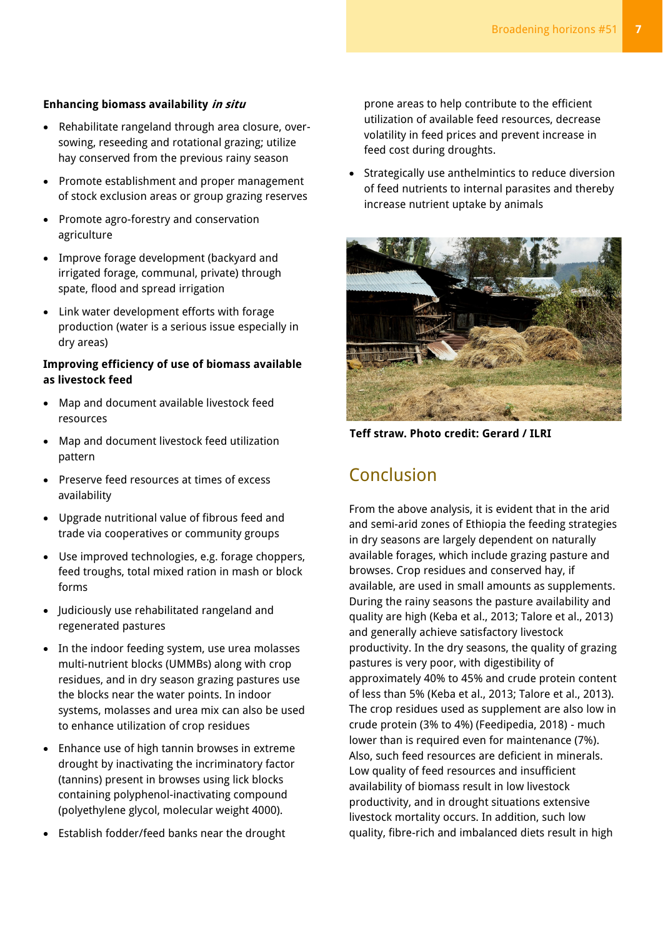#### **Enhancing biomass availability in situ**

- Rehabilitate rangeland through area closure, oversowing, reseeding and rotational grazing; utilize hay conserved from the previous rainy season
- Promote establishment and proper management of stock exclusion areas or group grazing reserves
- Promote agro-forestry and conservation agriculture
- Improve forage development (backyard and irrigated forage, communal, private) through spate, flood and spread irrigation
- Link water development efforts with forage production (water is a serious issue especially in dry areas)

#### **Improving efficiency of use of biomass available as livestock feed**

- Map and document available livestock feed resources
- Map and document livestock feed utilization pattern
- Preserve feed resources at times of excess availability
- Upgrade nutritional value of fibrous feed and trade via cooperatives or community groups
- Use improved technologies, e.g. forage choppers, feed troughs, total mixed ration in mash or block forms
- Judiciously use rehabilitated rangeland and regenerated pastures
- In the indoor feeding system, use urea molasses multi-nutrient blocks (UMMBs) along with crop residues, and in dry season grazing pastures use the blocks near the water points. In indoor systems, molasses and urea mix can also be used to enhance utilization of crop residues
- Enhance use of high tannin browses in extreme drought by inactivating the incriminatory factor (tannins) present in browses using lick blocks containing polyphenol-inactivating compound (polyethylene glycol, molecular weight 4000).
- Establish fodder/feed banks near the drought

prone areas to help contribute to the efficient utilization of available feed resources, decrease volatility in feed prices and prevent increase in feed cost during droughts.

• Strategically use anthelmintics to reduce diversion of feed nutrients to internal parasites and thereby increase nutrient uptake by animals



**Teff straw. Photo credit: Gerard / ILRI**

## Conclusion

From the above analysis, it is evident that in the arid and semi-arid zones of Ethiopia the feeding strategies in dry seasons are largely dependent on naturally available forages, which include grazing pasture and browses. Crop residues and conserved hay, if available, are used in small amounts as supplements. During the rainy seasons the pasture availability and quality are high (Keba et al., 2013; Talore et al., 2013) and generally achieve satisfactory livestock productivity. In the dry seasons, the quality of grazing pastures is very poor, with digestibility of approximately 40% to 45% and crude protein content of less than 5% (Keba et al., 2013; Talore et al., 2013). The crop residues used as supplement are also low in crude protein (3% to 4%) (Feedipedia, 2018) - much lower than is required even for maintenance (7%). Also, such feed resources are deficient in minerals. Low quality of feed resources and insufficient availability of biomass result in low livestock productivity, and in drought situations extensive livestock mortality occurs. In addition, such low quality, fibre-rich and imbalanced diets result in high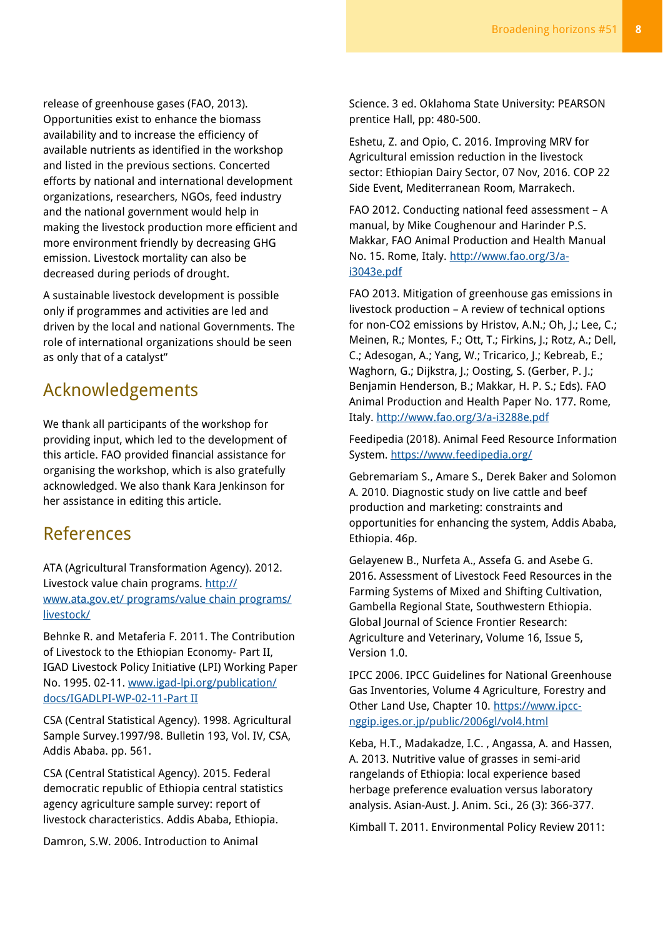release of greenhouse gases (FAO, 2013). Opportunities exist to enhance the biomass availability and to increase the efficiency of available nutrients as identified in the workshop and listed in the previous sections. Concerted efforts by national and international development organizations, researchers, NGOs, feed industry and the national government would help in making the livestock production more efficient and more environment friendly by decreasing GHG emission. Livestock mortality can also be decreased during periods of drought.

A sustainable livestock development is possible only if programmes and activities are led and driven by the local and national Governments. The role of international organizations should be seen as only that of a catalyst"

## Acknowledgements

We thank all participants of the workshop for providing input, which led to the development of this article. FAO provided financial assistance for organising the workshop, which is also gratefully acknowledged. We also thank Kara Jenkinson for her assistance in editing this article.

## References

ATA (Agricultural Transformation Agency). 2012. Livestock value chain programs. [http://](http://www.ata.gov.et/%20programs/value%20chain%20programs/livestock/) [www.ata.gov.et/ programs/value chain programs/](http://www.ata.gov.et/%20programs/value%20chain%20programs/livestock/) [livestock/](http://www.ata.gov.et/%20programs/value%20chain%20programs/livestock/)

Behnke R. and Metaferia F. 2011. The Contribution of Livestock to the Ethiopian Economy- Part II, IGAD Livestock Policy Initiative (LPI) Working Paper No. 1995. 02-11. [www.igad-lpi.org/publication/](http://www.igad-lpi.org/publication/%20docs/IGADLPI-WP-02-11-Part%20II)  [docs/IGADLPI-WP-02-11-Part II](http://www.igad-lpi.org/publication/%20docs/IGADLPI-WP-02-11-Part%20II)

CSA (Central Statistical Agency). 1998. Agricultural Sample Survey.1997/98. Bulletin 193, Vol. IV, CSA, Addis Ababa. pp. 561.

CSA (Central Statistical Agency). 2015. Federal democratic republic of Ethiopia central statistics agency agriculture sample survey: report of livestock characteristics. Addis Ababa, Ethiopia.

Damron, S.W. 2006. Introduction to Animal

Science. 3 ed. Oklahoma State University: PEARSON prentice Hall, pp: 480-500.

Eshetu, Z. and Opio, C. 2016. Improving MRV for Agricultural emission reduction in the livestock sector: Ethiopian Dairy Sector, 07 Nov, 2016. COP 22 Side Event, Mediterranean Room, Marrakech.

FAO 2012. Conducting national feed assessment – A manual, by Mike Coughenour and Harinder P.S. Makkar, FAO Animal Production and Health Manual No. 15. Rome, Italy. [http://www.fao.org/3/a](http://www.fao.org/3/a-i3043e.pdf)[i3043e.pdf](http://www.fao.org/3/a-i3043e.pdf)

FAO 2013. Mitigation of greenhouse gas emissions in livestock production – A review of technical options for non-CO2 emissions by Hristov, A.N.; Oh, J.; Lee, C.; Meinen, R.; Montes, F.; Ott, T.; Firkins, J.; Rotz, A.; Dell, C.; Adesogan, A.; Yang, W.; Tricarico, J.; Kebreab, E.; Waghorn, G.; Dijkstra, J.; Oosting, S. (Gerber, P. J.; Benjamin Henderson, B.; Makkar, H. P. S.; Eds). FAO Animal Production and Health Paper No. 177. Rome, Italy.<http://www.fao.org/3/a-i3288e.pdf>

Feedipedia (2018). Animal Feed Resource Information System. <https://www.feedipedia.org/>

Gebremariam S., Amare S., Derek Baker and Solomon A. 2010. Diagnostic study on live cattle and beef production and marketing: constraints and opportunities for enhancing the system, Addis Ababa, Ethiopia. 46p.

Gelayenew B., Nurfeta A., Assefa G. and Asebe G. 2016. Assessment of Livestock Feed Resources in the Farming Systems of Mixed and Shifting Cultivation, Gambella Regional State, Southwestern Ethiopia. Global Journal of Science Frontier Research: Agriculture and Veterinary, Volume 16, Issue 5, Version 1.0.

IPCC 2006. IPCC Guidelines for National Greenhouse Gas Inventories, Volume 4 Agriculture, Forestry and Other Land Use, Chapter 10. [https://www.ipcc](https://www.ipcc-nggip.iges.or.jp/public/2006gl/vol4.html)[nggip.iges.or.jp/public/2006gl/vol4.html](https://www.ipcc-nggip.iges.or.jp/public/2006gl/vol4.html)

Keba, H.T., Madakadze, I.C. , Angassa, A. and Hassen, A. 2013. Nutritive value of grasses in semi-arid rangelands of Ethiopia: local experience based herbage preference evaluation versus laboratory analysis. Asian-Aust. J. Anim. Sci., 26 (3): 366-377.

Kimball T. 2011. Environmental Policy Review 2011: